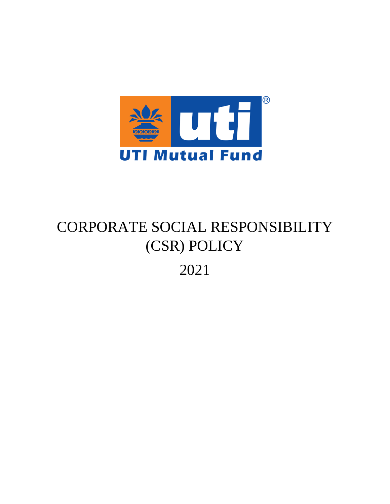

# CORPORATE SOCIAL RESPONSIBILITY (CSR) POLICY 2021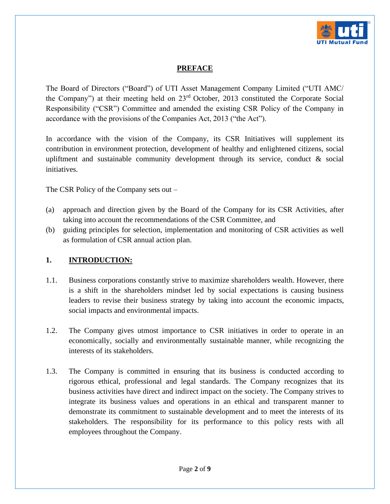

# **PREFACE**

The Board of Directors ("Board") of UTI Asset Management Company Limited ("UTI AMC/ the Company") at their meeting held on 23rd October, 2013 constituted the Corporate Social Responsibility ("CSR") Committee and amended the existing CSR Policy of the Company in accordance with the provisions of the Companies Act, 2013 ("the Act").

In accordance with the vision of the Company, its CSR Initiatives will supplement its contribution in environment protection, development of healthy and enlightened citizens, social upliftment and sustainable community development through its service, conduct  $\&$  social initiatives.

The CSR Policy of the Company sets out –

- (a) approach and direction given by the Board of the Company for its CSR Activities, after taking into account the recommendations of the CSR Committee, and
- (b) guiding principles for selection, implementation and monitoring of CSR activities as well as formulation of CSR annual action plan.

#### **1. INTRODUCTION:**

- 1.1. Business corporations constantly strive to maximize shareholders wealth. However, there is a shift in the shareholders mindset led by social expectations is causing business leaders to revise their business strategy by taking into account the economic impacts, social impacts and environmental impacts.
- 1.2. The Company gives utmost importance to CSR initiatives in order to operate in an economically, socially and environmentally sustainable manner, while recognizing the interests of its stakeholders.
- 1.3. The Company is committed in ensuring that its business is conducted according to rigorous ethical, professional and legal standards. The Company recognizes that its business activities have direct and indirect impact on the society. The Company strives to integrate its business values and operations in an ethical and transparent manner to demonstrate its commitment to sustainable development and to meet the interests of its stakeholders. The responsibility for its performance to this policy rests with all employees throughout the Company.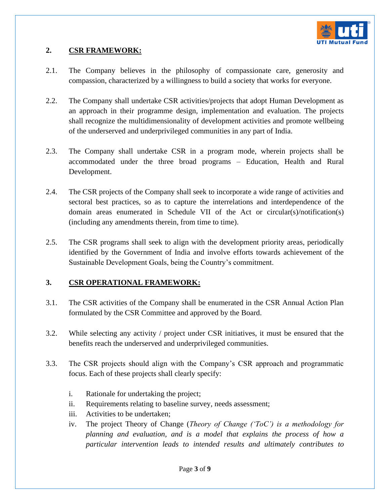

### **2. CSR FRAMEWORK:**

- 2.1. The Company believes in the philosophy of compassionate care, generosity and compassion, characterized by a willingness to build a society that works for everyone.
- 2.2. The Company shall undertake CSR activities/projects that adopt Human Development as an approach in their programme design, implementation and evaluation. The projects shall recognize the multidimensionality of development activities and promote wellbeing of the underserved and underprivileged communities in any part of India.
- 2.3. The Company shall undertake CSR in a program mode, wherein projects shall be accommodated under the three broad programs – Education, Health and Rural Development.
- 2.4. The CSR projects of the Company shall seek to incorporate a wide range of activities and sectoral best practices, so as to capture the interrelations and interdependence of the domain areas enumerated in Schedule VII of the Act or circular(s)/notification(s) (including any amendments therein, from time to time).
- 2.5. The CSR programs shall seek to align with the development priority areas, periodically identified by the Government of India and involve efforts towards achievement of the Sustainable Development Goals, being the Country's commitment.

# **3. CSR OPERATIONAL FRAMEWORK:**

- 3.1. The CSR activities of the Company shall be enumerated in the CSR Annual Action Plan formulated by the CSR Committee and approved by the Board.
- 3.2. While selecting any activity / project under CSR initiatives, it must be ensured that the benefits reach the underserved and underprivileged communities.
- 3.3. The CSR projects should align with the Company's CSR approach and programmatic focus. Each of these projects shall clearly specify:
	- i. Rationale for undertaking the project;
	- ii. Requirements relating to baseline survey, needs assessment;
	- iii. Activities to be undertaken;
	- iv. The project Theory of Change (*Theory of Change ('ToC') is a methodology for planning and evaluation, and is a model that explains the process of how a particular intervention leads to intended results and ultimately contributes to*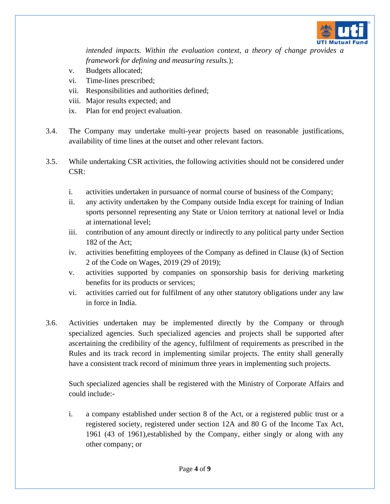

*intended impacts. Within the evaluation context, a theory of change provides a framework for defining and measuring results.*);

- v. Budgets allocated;
- vi. Time-lines prescribed;
- vii. Responsibilities and authorities defined;
- viii. Major results expected; and
- ix. Plan for end project evaluation.
- 3.4. The Company may undertake multi-year projects based on reasonable justifications, availability of time lines at the outset and other relevant factors.
- 3.5. While undertaking CSR activities, the following activities should not be considered under CSR:
	- i. activities undertaken in pursuance of normal course of business of the Company;
	- ii. any activity undertaken by the Company outside India except for training of Indian sports personnel representing any State or Union territory at national level or India at international level;
	- iii. contribution of any amount directly or indirectly to any political party under Section 182 of the Act;
	- iv. activities benefitting employees of the Company as defined in Clause (k) of Section 2 of the Code on Wages, 2019 (29 of 2019);
	- v. activities supported by companies on sponsorship basis for deriving marketing benefits for its products or services;
	- vi. activities carried out for fulfilment of any other statutory obligations under any law in force in India.
- 3.6. Activities undertaken may be implemented directly by the Company or through specialized agencies. Such specialized agencies and projects shall be supported after ascertaining the credibility of the agency, fulfilment of requirements as prescribed in the Rules and its track record in implementing similar projects. The entity shall generally have a consistent track record of minimum three years in implementing such projects.

Such specialized agencies shall be registered with the Ministry of Corporate Affairs and could include:-

i. a company established under section 8 of the Act, or a registered public trust or a registered society, registered under section 12A and 80 G of the Income Tax Act, 1961 (43 of 1961),established by the Company, either singly or along with any other company; or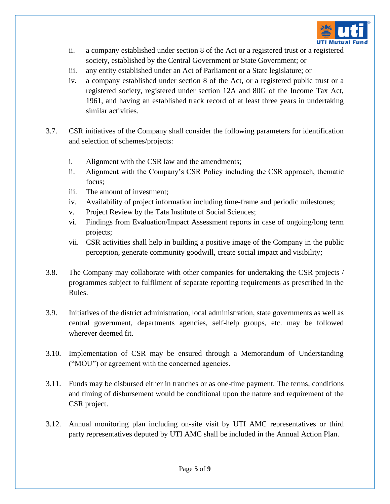

- ii. a company established under section 8 of the Act or a registered trust or a registered society, established by the Central Government or State Government; or
- iii. any entity established under an Act of Parliament or a State legislature; or
- iv. a company established under section 8 of the Act, or a registered public trust or a registered society, registered under section 12A and 80G of the Income Tax Act, 1961, and having an established track record of at least three years in undertaking similar activities.
- 3.7. CSR initiatives of the Company shall consider the following parameters for identification and selection of schemes/projects:
	- i. Alignment with the CSR law and the amendments;
	- ii. Alignment with the Company's CSR Policy including the CSR approach, thematic focus;
	- iii. The amount of investment;
	- iv. Availability of project information including time-frame and periodic milestones;
	- v. Project Review by the Tata Institute of Social Sciences;
	- vi. Findings from Evaluation/Impact Assessment reports in case of ongoing/long term projects;
	- vii. CSR activities shall help in building a positive image of the Company in the public perception, generate community goodwill, create social impact and visibility;
- 3.8. The Company may collaborate with other companies for undertaking the CSR projects / programmes subject to fulfilment of separate reporting requirements as prescribed in the Rules.
- 3.9. Initiatives of the district administration, local administration, state governments as well as central government, departments agencies, self-help groups, etc. may be followed wherever deemed fit.
- 3.10. Implementation of CSR may be ensured through a Memorandum of Understanding ("MOU") or agreement with the concerned agencies.
- 3.11. Funds may be disbursed either in tranches or as one-time payment. The terms, conditions and timing of disbursement would be conditional upon the nature and requirement of the CSR project.
- 3.12. Annual monitoring plan including on-site visit by UTI AMC representatives or third party representatives deputed by UTI AMC shall be included in the Annual Action Plan.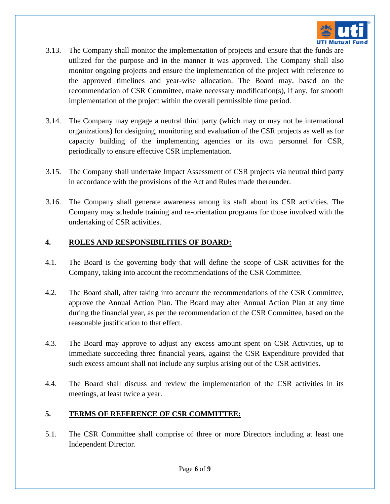

- 3.13. The Company shall monitor the implementation of projects and ensure that the funds are utilized for the purpose and in the manner it was approved. The Company shall also monitor ongoing projects and ensure the implementation of the project with reference to the approved timelines and year-wise allocation. The Board may, based on the recommendation of CSR Committee, make necessary modification(s), if any, for smooth implementation of the project within the overall permissible time period.
- 3.14. The Company may engage a neutral third party (which may or may not be international organizations) for designing, monitoring and evaluation of the CSR projects as well as for capacity building of the implementing agencies or its own personnel for CSR, periodically to ensure effective CSR implementation.
- 3.15. The Company shall undertake Impact Assessment of CSR projects via neutral third party in accordance with the provisions of the Act and Rules made thereunder.
- 3.16. The Company shall generate awareness among its staff about its CSR activities. The Company may schedule training and re-orientation programs for those involved with the undertaking of CSR activities.

## **4. ROLES AND RESPONSIBILITIES OF BOARD:**

- 4.1. The Board is the governing body that will define the scope of CSR activities for the Company, taking into account the recommendations of the CSR Committee.
- 4.2. The Board shall, after taking into account the recommendations of the CSR Committee, approve the Annual Action Plan. The Board may alter Annual Action Plan at any time during the financial year, as per the recommendation of the CSR Committee, based on the reasonable justification to that effect.
- 4.3. The Board may approve to adjust any excess amount spent on CSR Activities, up to immediate succeeding three financial years, against the CSR Expenditure provided that such excess amount shall not include any surplus arising out of the CSR activities.
- 4.4. The Board shall discuss and review the implementation of the CSR activities in its meetings, at least twice a year.

# **5. TERMS OF REFERENCE OF CSR COMMITTEE:**

5.1. The CSR Committee shall comprise of three or more Directors including at least one Independent Director.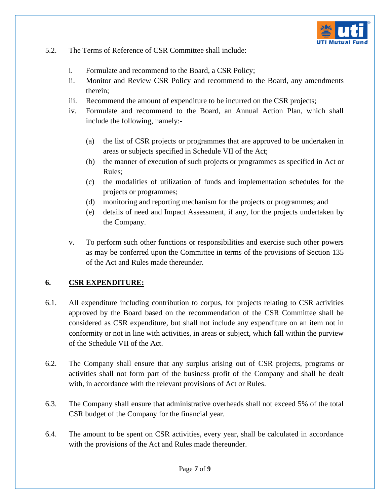

#### 5.2. The Terms of Reference of CSR Committee shall include:

- i. Formulate and recommend to the Board, a CSR Policy;
- ii. Monitor and Review CSR Policy and recommend to the Board, any amendments therein;
- iii. Recommend the amount of expenditure to be incurred on the CSR projects;
- iv. Formulate and recommend to the Board, an Annual Action Plan, which shall include the following, namely:-
	- (a) the list of CSR projects or programmes that are approved to be undertaken in areas or subjects specified in Schedule VII of the Act;
	- (b) the manner of execution of such projects or programmes as specified in Act or Rules;
	- (c) the modalities of utilization of funds and implementation schedules for the projects or programmes;
	- (d) monitoring and reporting mechanism for the projects or programmes; and
	- (e) details of need and Impact Assessment, if any, for the projects undertaken by the Company.
- v. To perform such other functions or responsibilities and exercise such other powers as may be conferred upon the Committee in terms of the provisions of Section 135 of the Act and Rules made thereunder.

#### **6. CSR EXPENDITURE:**

- 6.1. All expenditure including contribution to corpus, for projects relating to CSR activities approved by the Board based on the recommendation of the CSR Committee shall be considered as CSR expenditure, but shall not include any expenditure on an item not in conformity or not in line with activities, in areas or subject, which fall within the purview of the Schedule VII of the Act.
- 6.2. The Company shall ensure that any surplus arising out of CSR projects, programs or activities shall not form part of the business profit of the Company and shall be dealt with, in accordance with the relevant provisions of Act or Rules.
- 6.3. The Company shall ensure that administrative overheads shall not exceed 5% of the total CSR budget of the Company for the financial year.
- 6.4. The amount to be spent on CSR activities, every year, shall be calculated in accordance with the provisions of the Act and Rules made thereunder.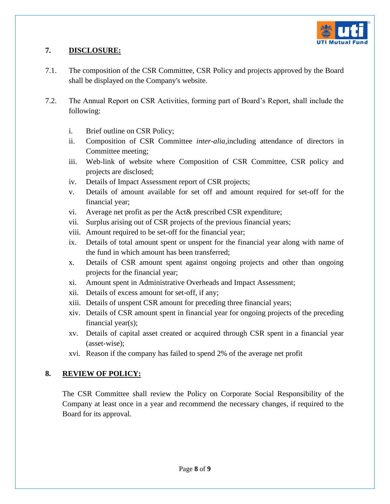

## **7. DISCLOSURE:**

- 7.1. The composition of the CSR Committee, CSR Policy and projects approved by the Board shall be displayed on the Company's website.
- 7.2. The Annual Report on CSR Activities, forming part of Board's Report, shall include the following:
	- i. Brief outline on CSR Policy;
	- ii. Composition of CSR Committee *inter-alia,*including attendance of directors in Committee meeting;
	- iii. Web-link of website where Composition of CSR Committee, CSR policy and projects are disclosed;
	- iv. Details of Impact Assessment report of CSR projects;
	- v. Details of amount available for set off and amount required for set-off for the financial year;
	- vi. Average net profit as per the Act& prescribed CSR expenditure;
	- vii. Surplus arising out of CSR projects of the previous financial years;
	- viii. Amount required to be set-off for the financial year;
	- ix. Details of total amount spent or unspent for the financial year along with name of the fund in which amount has been transferred;
	- x. Details of CSR amount spent against ongoing projects and other than ongoing projects for the financial year;
	- xi. Amount spent in Administrative Overheads and Impact Assessment;
	- xii. Details of excess amount for set-off, if any;
	- xiii. Details of unspent CSR amount for preceding three financial years;
	- xiv. Details of CSR amount spent in financial year for ongoing projects of the preceding financial year(s);
	- xv. Details of capital asset created or acquired through CSR spent in a financial year (asset-wise);
	- xvi. Reason if the company has failed to spend 2% of the average net profit

# **8. REVIEW OF POLICY:**

The CSR Committee shall review the Policy on Corporate Social Responsibility of the Company at least once in a year and recommend the necessary changes, if required to the Board for its approval.